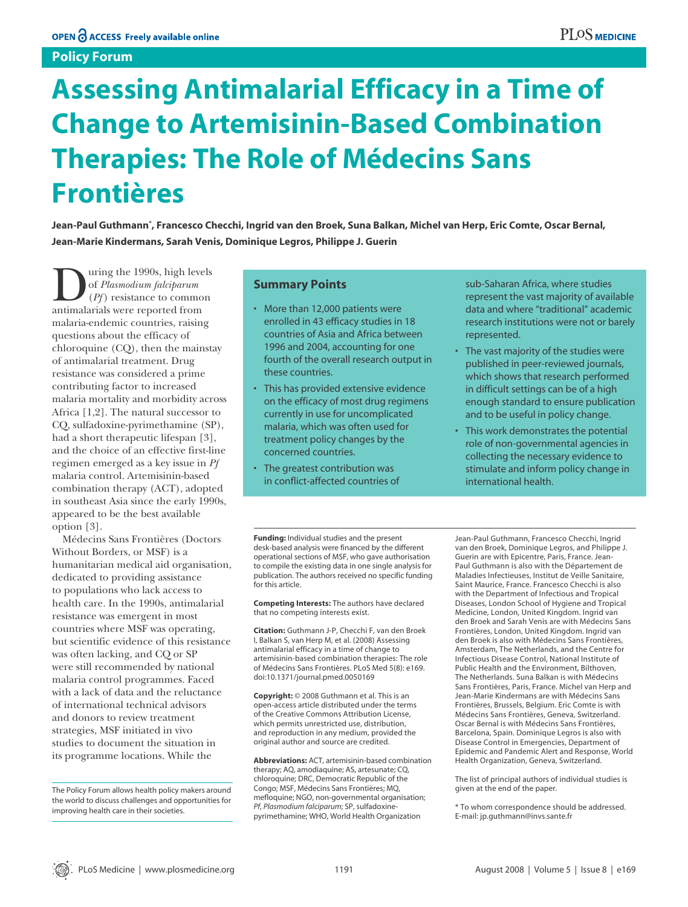# **Assessing Antimalarial Efficacy in a Time of Change to Artemisinin-Based Combination Therapies: The Role of Médecins Sans Frontières**

**Jean-Paul Guthmann\* , Francesco Checchi, Ingrid van den Broek, Suna Balkan, Michel van Herp, Eric Comte, Oscar Bernal, Jean-Marie Kindermans, Sarah Venis, Dominique Legros, Philippe J. Guerin**

uring the 1990s, high levels of *Plasmodium falciparum* (*Pf*) resistance to common antimalarials were reported from malaria-endemic countries, raising questions about the efficacy of chloroquine (CQ), then the mainstay of antimalarial treatment. Drug resistance was considered a prime contributing factor to increased malaria mortality and morbidity across Africa [1,2]. The natural successor to CQ, sulfadoxine-pyrimethamine (SP), had a short therapeutic lifespan [3], and the choice of an effective first-line regimen emerged as a key issue in *Pf*  malaria control. Artemisinin-based combination therapy (ACT), adopted in southeast Asia since the early 1990s, appeared to be the best available option [3].

Médecins Sans Frontières (Doctors Without Borders, or MSF) is a humanitarian medical aid organisation, dedicated to providing assistance to populations who lack access to health care. In the 1990s, antimalarial resistance was emergent in most countries where MSF was operating, but scientific evidence of this resistance was often lacking, and CQ or SP were still recommended by national malaria control programmes. Faced with a lack of data and the reluctance of international technical advisors and donors to review treatment strategies, MSF initiated in vivo studies to document the situation in its programme locations. While the

The Policy Forum allows health policy makers around the world to discuss challenges and opportunities for improving health care in their societies.

# **Summary Points**

- $\cdot$  More than 12,000 patients were enrolled in 43 efficacy studies in 18 countries of Asia and Africa between 1996 and 2004, accounting for one fourth of the overall research output in these countries.
- This has provided extensive evidence on the efficacy of most drug regimens currently in use for uncomplicated malaria, which was often used for treatment policy changes by the concerned countries.
- $\cdot$  The greatest contribution was in conflict-affected countries of

sub-Saharan Africa, where studies represent the vast majority of available data and where "traditional" academic research institutions were not or barely represented.

- The vast majority of the studies were published in peer-reviewed journals, which shows that research performed in difficult settings can be of a high enough standard to ensure publication and to be useful in policy change.
- This work demonstrates the potential role of non-governmental agencies in collecting the necessary evidence to stimulate and inform policy change in international health.

**Funding:** Individual studies and the present desk-based analysis were financed by the different operational sections of MSF, who gave authorisation to compile the existing data in one single analysis for publication. The authors received no specific funding for this article.

**Competing Interests:** The authors have declared that no competing interests exist.

**Citation:** Guthmann J-P. Checchi F. van den Broek I, Balkan S, van Herp M, et al. (2008) Assessing antimalarial efficacy in a time of change to artemisinin-based combination therapies: The role of Médecins Sans Frontières. PLoS Med 5(8): e169. doi:10.1371/journal.pmed.0050169

**Copyright:** © 2008 Guthmann et al. This is an open-access article distributed under the terms of the Creative Commons Attribution License. which permits unrestricted use, distribution, and reproduction in any medium, provided the original author and source are credited.

**Abbreviations:** ACT, artemisinin-based combination therapy; AQ, amodiaquine; AS, artesunate; CQ, chloroquine; DRC, Democratic Republic of the Congo; MSF, Médecins Sans Frontières; MQ, mefloquine; NGO, non-governmental organisation; Pf, Plasmodium falciparum; SP, sulfadoxinepyrimethamine; WHO, World Health Organization

Jean-Paul Guthmann, Francesco Checchi, Ingrid van den Broek, Dominique Legros, and Philippe J. Guerin are with Epicentre, Paris, France. Jean-Paul Guthmann is also with the Département de Maladies Infectieuses, Institut de Veille Sanitaire, Saint Maurice, Erance, Erancesco Checchi is also with the Department of Infectious and Tropical Diseases, London School of Hygiene and Tropical Medicine, London, United Kingdom. Ingrid van den Broek and Sarah Venis are with Médecins Sans Frontières, London, United Kingdom. Ingrid van den Broek is also with Médecins Sans Frontières, Amsterdam, The Netherlands, and the Centre for Infectious Disease Control, National Institute of Public Health and the Environment, Bilthoven, The Netherlands. Suna Balkan is with Médecins Sans Frontières, Paris, France. Michel van Herp and Jean-Marie Kindermans are with Médecins Sans Frontières, Brussels, Belgium. Eric Comte is with Médecins Sans Frontières, Geneva, Switzerland. Oscar Bernal is with Médecins Sans Frontières. Barcelona, Spain. Dominique Legros is also with Disease Control in Emergencies, Department of Epidemic and Pandemic Alert and Response, World Health Organization, Geneva, Switzerland.

The list of principal authors of individual studies is given at the end of the paper.

\* To whom correspondence should be addressed. E-mail: jp.guthmann@invs.sante.fr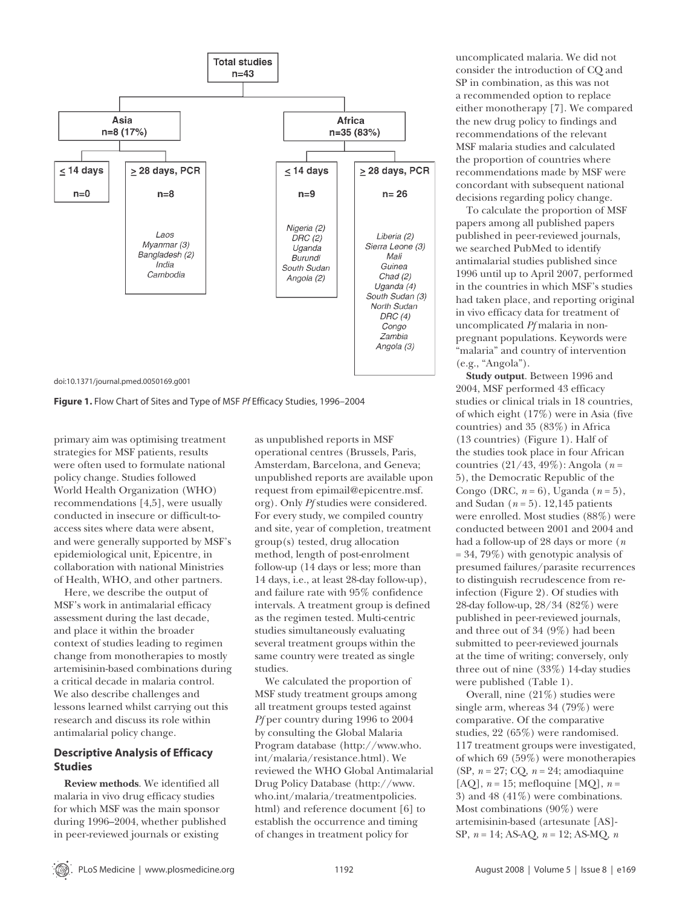

doi:10.1371/journal.pmed.0050169.g001

Figure 1. Flow Chart of Sites and Type of MSF Pf Efficacy Studies, 1996-2004

primary aim was optimising treatment strategies for MSF patients, results were often used to formulate national policy change. Studies followed World Health Organization (WHO) recommendations [4,5], were usually conducted in insecure or difficult-toaccess sites where data were absent, and were generally supported by MSF's epidemiological unit, Epicentre, in collaboration with national Ministries of Health, WHO, and other partners.

Here, we describe the output of MSF's work in antimalarial efficacy assessment during the last decade, and place it within the broader context of studies leading to regimen change from monotherapies to mostly artemisinin-based combinations during a critical decade in malaria control. We also describe challenges and lessons learned whilst carrying out this research and discuss its role within antimalarial policy change.

### **Descriptive Analysis of Efficacy Studies**

**Review methods**. We identified all malaria in vivo drug efficacy studies for which MSF was the main sponsor during 1996–2004, whether published in peer-reviewed journals or existing

as unpublished reports in MSF operational centres (Brussels, Paris, Amsterdam, Barcelona, and Geneva; unpublished reports are available upon request from epimail@epicentre.msf. org). Only *Pf* studies were considered. For every study, we compiled country and site, year of completion, treatment group(s) tested, drug allocation method, length of post-enrolment follow-up (14 days or less; more than 14 days, i.e., at least 28-day follow-up), and failure rate with 95% confidence intervals. A treatment group is defined as the regimen tested. Multi-centric studies simultaneously evaluating several treatment groups within the same country were treated as single studies.

We calculated the proportion of MSF study treatment groups among all treatment groups tested against *Pf* per country during 1996 to 2004 by consulting the Global Malaria Program database (http://www.who. int/malaria/resistance.html). We reviewed the WHO Global Antimalarial Drug Policy Database (http://www. who.int/malaria/treatmentpolicies. html) and reference document [6] to establish the occurrence and timing of changes in treatment policy for

uncomplicated malaria. We did not consider the introduction of CQ and SP in combination, as this was not a recommended option to replace either monotherapy [7]. We compared the new drug policy to findings and recommendations of the relevant MSF malaria studies and calculated the proportion of countries where recommendations made by MSF were concordant with subsequent national decisions regarding policy change.

To calculate the proportion of MSF papers among all published papers published in peer-reviewed journals, we searched PubMed to identify antimalarial studies published since 1996 until up to April 2007, performed in the countries in which MSF's studies had taken place, and reporting original in vivo efficacy data for treatment of uncomplicated *Pf* malaria in nonpregnant populations. Keywords were "malaria" and country of intervention (e.g., "Angola").

**Study output**. Between 1996 and 2004, MSF performed 43 efficacy studies or clinical trials in 18 countries, of which eight (17%) were in Asia (five countries) and 35 (83%) in Africa (13 countries) (Figure 1). Half of the studies took place in four African countries (21/43, 49%): Angola (*n* = 5), the Democratic Republic of the Congo (DRC, *n* = 6), Uganda (*n* = 5), and Sudan (*n* = 5). 12,145 patients were enrolled. Most studies (88%) were conducted between 2001 and 2004 and had a follow-up of 28 days or more (*n* = 34, 79%) with genotypic analysis of presumed failures/parasite recurrences to distinguish recrudescence from reinfection (Figure 2). Of studies with 28-day follow-up, 28/34 (82%) were published in peer-reviewed journals, and three out of 34 (9%) had been submitted to peer-reviewed journals at the time of writing; conversely, only three out of nine (33%) 14-day studies were published (Table 1).

Overall, nine (21%) studies were single arm, whereas 34 (79%) were comparative. Of the comparative studies, 22 (65%) were randomised. 117 treatment groups were investigated, of which 69 (59%) were monotherapies (SP, *n* = 27; CQ, *n* = 24; amodiaquine [AQ], *n* = 15; mefloquine [MQ], *n* = 3) and 48 (41%) were combinations. Most combinations (90%) were artemisinin-based (artesunate [AS]- SP, *n* = 14; AS-AQ, *n* = 12; AS-MQ, *n*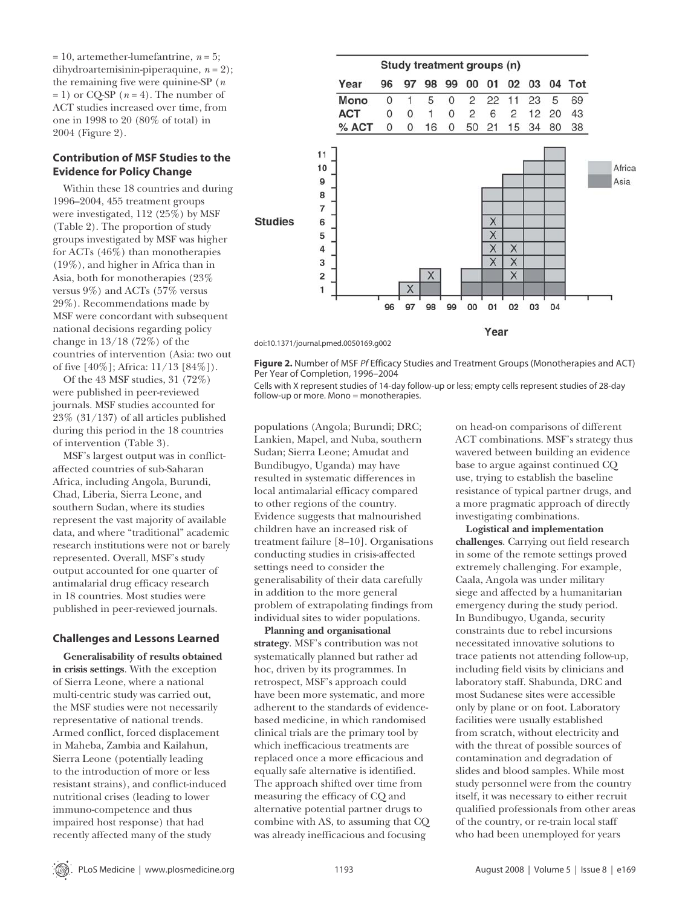$= 10$ , artemether-lumefantrine,  $n = 5$ ; dihydroartemisinin-piperaquine, *n* = 2); the remaining five were quinine-SP (*n* = 1) or CQ-SP (*n* = 4). The number of ACT studies increased over time, from one in 1998 to 20 (80% of total) in 2004 (Figure 2).

# **Contribution of MSF Studies to the Evidence for Policy Change**

Within these 18 countries and during 1996–2004, 455 treatment groups were investigated, 112 (25%) by MSF (Table 2). The proportion of study groups investigated by MSF was higher for ACTs (46%) than monotherapies (19%), and higher in Africa than in Asia, both for monotherapies (23% versus 9%) and ACTs (57% versus 29%). Recommendations made by MSF were concordant with subsequent national decisions regarding policy change in 13/18 (72%) of the countries of intervention (Asia: two out of five [40%]; Africa: 11/13 [84%]).

Of the 43 MSF studies, 31 (72%) were published in peer-reviewed journals. MSF studies accounted for 23% (31/137) of all articles published during this period in the 18 countries of intervention (Table 3).

MSF's largest output was in conflictaffected countries of sub-Saharan Africa, including Angola, Burundi, Chad, Liberia, Sierra Leone, and southern Sudan, where its studies represent the vast majority of available data, and where "traditional" academic research institutions were not or barely represented. Overall, MSF's study output accounted for one quarter of antimalarial drug efficacy research in 18 countries. Most studies were published in peer-reviewed journals.

#### **Challenges and Lessons Learned**

**Generalisability of results obtained in crisis settings**. With the exception of Sierra Leone, where a national multi-centric study was carried out, the MSF studies were not necessarily representative of national trends. Armed conflict, forced displacement in Maheba, Zambia and Kailahun, Sierra Leone (potentially leading to the introduction of more or less resistant strains), and conflict-induced nutritional crises (leading to lower immuno-competence and thus impaired host response) that had recently affected many of the study



doi:10.1371/journal.pmed.0050169.g002

**Figure 2.** Number of MSF Pf Efficacy Studies and Treatment Groups (Monotherapies and ACT) Per Year of Completion, 1996-2004

Cells with X represent studies of 14-day follow-up or less; empty cells represent studies of 28-day follow-up or more. Mono = monotherapies.

populations (Angola; Burundi; DRC; Lankien, Mapel, and Nuba, southern Sudan; Sierra Leone; Amudat and Bundibugyo, Uganda) may have resulted in systematic differences in local antimalarial efficacy compared to other regions of the country. Evidence suggests that malnourished children have an increased risk of treatment failure [8–10]. Organisations conducting studies in crisis-affected settings need to consider the generalisability of their data carefully in addition to the more general problem of extrapolating findings from individual sites to wider populations.

**Planning and organisational strategy**. MSF's contribution was not systematically planned but rather ad hoc, driven by its programmes. In retrospect, MSF's approach could have been more systematic, and more adherent to the standards of evidencebased medicine, in which randomised clinical trials are the primary tool by which inefficacious treatments are replaced once a more efficacious and equally safe alternative is identified. The approach shifted over time from measuring the efficacy of CQ and alternative potential partner drugs to combine with AS, to assuming that CQ was already inefficacious and focusing

on head-on comparisons of different ACT combinations. MSF's strategy thus wavered between building an evidence base to argue against continued CQ use, trying to establish the baseline resistance of typical partner drugs, and a more pragmatic approach of directly investigating combinations.

**Logistical and implementation challenges**. Carrying out field research in some of the remote settings proved extremely challenging. For example, Caala, Angola was under military siege and affected by a humanitarian emergency during the study period. In Bundibugyo, Uganda, security constraints due to rebel incursions necessitated innovative solutions to trace patients not attending follow-up, including field visits by clinicians and laboratory staff. Shabunda, DRC and most Sudanese sites were accessible only by plane or on foot. Laboratory facilities were usually established from scratch, without electricity and with the threat of possible sources of contamination and degradation of slides and blood samples. While most study personnel were from the country itself, it was necessary to either recruit qualified professionals from other areas of the country, or re-train local staff who had been unemployed for years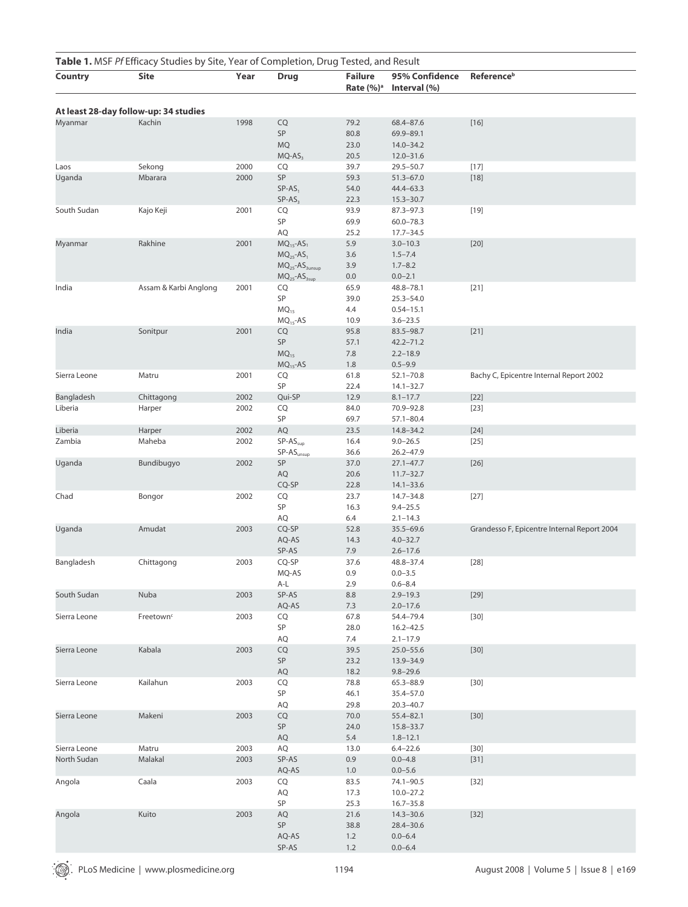| Table 1. MSF Pf Efficacy Studies by Site, Year of Completion, Drug Tested, and Result |                       |      |                             |                                         |                                |                                             |  |  |  |
|---------------------------------------------------------------------------------------|-----------------------|------|-----------------------------|-----------------------------------------|--------------------------------|---------------------------------------------|--|--|--|
| Country                                                                               | Year<br><b>Site</b>   |      | <b>Drug</b>                 | <b>Failure</b><br>Rate (%) <sup>a</sup> | 95% Confidence<br>Interval (%) | <b>Reference</b> <sup>b</sup>               |  |  |  |
|                                                                                       |                       |      |                             |                                         |                                |                                             |  |  |  |
| At least 28-day follow-up: 34 studies<br>Myanmar                                      | Kachin                | 1998 | CQ                          | 79.2                                    | 68.4-87.6                      | $[16]$                                      |  |  |  |
|                                                                                       |                       |      | SP                          | 80.8                                    | 69.9-89.1                      |                                             |  |  |  |
|                                                                                       |                       |      | <b>MQ</b>                   | 23.0                                    | 14.0-34.2                      |                                             |  |  |  |
|                                                                                       |                       |      | $MQ-AS3$                    | 20.5                                    | $12.0 - 31.6$                  |                                             |  |  |  |
| Laos                                                                                  | Sekong                | 2000 | CQ                          | 39.7                                    | $29.5 - 50.7$                  | $[17]$                                      |  |  |  |
| Uganda                                                                                | Mbarara               | 2000 | SP                          | 59.3                                    | $51.3 - 67.0$                  | $[18]$                                      |  |  |  |
|                                                                                       |                       |      | $SP-AS_1$                   | 54.0                                    | 44.4-63.3                      |                                             |  |  |  |
| South Sudan                                                                           | Kajo Keji             | 2001 | $SP-AS3$                    | 22.3                                    | $15.3 - 30.7$                  | $[19]$                                      |  |  |  |
|                                                                                       |                       |      | CQ<br>SP                    | 93.9<br>69.9                            | 87.3-97.3<br>$60.0 - 78.3$     |                                             |  |  |  |
|                                                                                       |                       |      | AQ                          | 25.2                                    | 17.7-34.5                      |                                             |  |  |  |
| Myanmar                                                                               | Rakhine               | 2001 | $MQ15-AS1$                  | 5.9                                     | $3.0 - 10.3$                   | $[20]$                                      |  |  |  |
|                                                                                       |                       |      | $MQ25-AS1$                  | 3.6                                     | $1.5 - 7.4$                    |                                             |  |  |  |
|                                                                                       |                       |      | $MQ_{25}$ - $AS_{3unsup}$   | 3.9                                     | $1.7 - 8.2$                    |                                             |  |  |  |
|                                                                                       |                       |      | $MQ_{25} - AS_{3sup}$       | 0.0                                     | $0.0 - 2.1$                    |                                             |  |  |  |
| India                                                                                 | Assam & Karbi Anglong | 2001 | CQ                          | 65.9                                    | 48.8-78.1                      | $[21]$                                      |  |  |  |
|                                                                                       |                       |      | SP                          | 39.0                                    | $25.3 - 54.0$                  |                                             |  |  |  |
|                                                                                       |                       |      | $MQ_{15}$<br>$MQ_{15} - AS$ | 4.4<br>10.9                             | $0.54 - 15.1$<br>$3.6 - 23.5$  |                                             |  |  |  |
| India                                                                                 | Sonitpur              | 2001 | CQ                          | 95.8                                    | 83.5-98.7                      | $[21]$                                      |  |  |  |
|                                                                                       |                       |      | SP                          | 57.1                                    | 42.2-71.2                      |                                             |  |  |  |
|                                                                                       |                       |      | $MQ_{15}$                   | 7.8                                     | $2.2 - 18.9$                   |                                             |  |  |  |
|                                                                                       |                       |      | $MQ_{15}$ -AS               | 1.8                                     | $0.5 - 9.9$                    |                                             |  |  |  |
| Sierra Leone                                                                          | Matru                 | 2001 | CQ                          | 61.8                                    | $52.1 - 70.8$                  | Bachy C, Epicentre Internal Report 2002     |  |  |  |
|                                                                                       |                       |      | SP                          | 22.4                                    | $14.1 - 32.7$                  |                                             |  |  |  |
| Bangladesh                                                                            | Chittagong            | 2002 | Qui-SP                      | 12.9                                    | $8.1 - 17.7$                   | $[22]$                                      |  |  |  |
| Liberia                                                                               | Harper                | 2002 | CQ                          | 84.0                                    | 70.9-92.8                      | $[23]$                                      |  |  |  |
| Liberia                                                                               | Harper                | 2002 | SP<br><b>AQ</b>             | 69.7<br>23.5                            | $57.1 - 80.4$<br>14.8-34.2     | $[24]$                                      |  |  |  |
| Zambia                                                                                | Maheba                | 2002 | $SP-AS$ <sub>sup</sub>      | 16.4                                    | $9.0 - 26.5$                   | $[25]$                                      |  |  |  |
|                                                                                       |                       |      | $SP-AS$ <sub>unsup</sub>    | 36.6                                    | $26.2 - 47.9$                  |                                             |  |  |  |
| Uganda                                                                                | Bundibugyo            | 2002 | SP                          | 37.0                                    | $27.1 - 47.7$                  | $[26]$                                      |  |  |  |
|                                                                                       |                       |      | AQ                          | 20.6                                    | $11.7 - 32.7$                  |                                             |  |  |  |
|                                                                                       |                       |      | $CQ-SP$                     | 22.8                                    | $14.1 - 33.6$                  |                                             |  |  |  |
| Chad                                                                                  | Bongor                | 2002 | CQ                          | 23.7                                    | 14.7-34.8                      | $[27]$                                      |  |  |  |
|                                                                                       |                       |      | SP                          | 16.3                                    | $9.4 - 25.5$                   |                                             |  |  |  |
| Uganda                                                                                | Amudat                | 2003 | AQ<br>CQ-SP                 | 6.4<br>52.8                             | $2.1 - 14.3$<br>35.5-69.6      | Grandesso F, Epicentre Internal Report 2004 |  |  |  |
|                                                                                       |                       |      | AQ-AS                       | 14.3                                    | $4.0 - 32.7$                   |                                             |  |  |  |
|                                                                                       |                       |      | SP-AS                       | 7.9                                     | $2.6 - 17.6$                   |                                             |  |  |  |
| Bangladesh                                                                            | Chittagong            | 2003 | CQ-SP                       | 37.6                                    | 48.8-37.4                      | $[28]$                                      |  |  |  |
|                                                                                       |                       |      | MQ-AS                       | 0.9                                     | $0.0 - 3.5$                    |                                             |  |  |  |
|                                                                                       |                       |      | A-L                         | 2.9                                     | $0.6 - 8.4$                    |                                             |  |  |  |
| South Sudan                                                                           | Nuba                  | 2003 | SP-AS                       | $8.8\,$                                 | $2.9 - 19.3$                   | $[29]$                                      |  |  |  |
| Sierra Leone                                                                          | Freetown <sup>c</sup> | 2003 | AQ-AS<br>CQ                 | 7.3<br>67.8                             | $2.0 - 17.6$<br>54.4-79.4      | $[30]$                                      |  |  |  |
|                                                                                       |                       |      | SP                          | 28.0                                    | $16.2 - 42.5$                  |                                             |  |  |  |
|                                                                                       |                       |      | AQ                          | 7.4                                     | $2.1 - 17.9$                   |                                             |  |  |  |
| Sierra Leone                                                                          | Kabala                | 2003 | CQ                          | 39.5                                    | 25.0-55.6                      | $[30]$                                      |  |  |  |
|                                                                                       |                       |      | SP                          | 23.2                                    | 13.9-34.9                      |                                             |  |  |  |
|                                                                                       |                       |      | <b>AQ</b>                   | 18.2                                    | $9.8 - 29.6$                   |                                             |  |  |  |
| Sierra Leone                                                                          | Kailahun              | 2003 | CQ                          | 78.8                                    | 65.3-88.9                      | $[30]$                                      |  |  |  |
|                                                                                       |                       |      | SP                          | 46.1                                    | 35.4-57.0                      |                                             |  |  |  |
| Sierra Leone                                                                          | Makeni                | 2003 | AQ<br>CQ                    | 29.8<br>70.0                            | 20.3-40.7<br>55.4-82.1         | $[30]$                                      |  |  |  |
|                                                                                       |                       |      | SP                          | 24.0                                    | 15.8-33.7                      |                                             |  |  |  |
|                                                                                       |                       |      | AQ                          | 5.4                                     | $1.8 - 12.1$                   |                                             |  |  |  |
| Sierra Leone                                                                          | Matru                 | 2003 | AQ                          | 13.0                                    | $6.4 - 22.6$                   | $[30]$                                      |  |  |  |
| North Sudan                                                                           | Malakal               | 2003 | SP-AS                       | 0.9                                     | $0.0 - 4.8$                    | $[31]$                                      |  |  |  |
|                                                                                       |                       |      | AQ-AS                       | 1.0                                     | $0.0 - 5.6$                    |                                             |  |  |  |
| Angola                                                                                | Caala                 | 2003 | CQ                          | 83.5                                    | 74.1-90.5                      | $[32]$                                      |  |  |  |
|                                                                                       |                       |      | AQ<br>SP                    | 17.3<br>25.3                            | $10.0 - 27.2$<br>$16.7 - 35.8$ |                                             |  |  |  |
| Angola                                                                                | Kuito                 | 2003 | <b>AQ</b>                   | 21.6                                    | $14.3 - 30.6$                  | $[32]$                                      |  |  |  |
|                                                                                       |                       |      | SP                          | 38.8                                    | $28.4 - 30.6$                  |                                             |  |  |  |
|                                                                                       |                       |      | AQ-AS                       | 1.2                                     | $0.0 - 6.4$                    |                                             |  |  |  |
|                                                                                       |                       |      | SP-AS                       | 1.2                                     | $0.0 - 6.4$                    |                                             |  |  |  |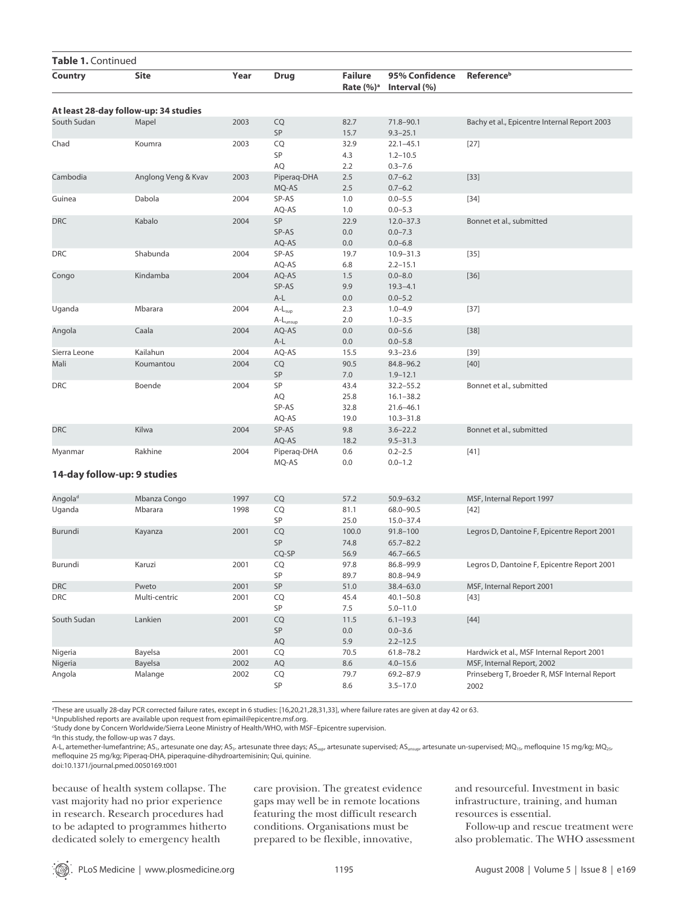| Table 1. Continued          |                                       |      |                                              |                                 |                                                                  |                                                      |  |  |  |
|-----------------------------|---------------------------------------|------|----------------------------------------------|---------------------------------|------------------------------------------------------------------|------------------------------------------------------|--|--|--|
| <b>Site</b><br>Country      |                                       | Year | <b>Drug</b>                                  | <b>Failure</b><br>Rate $(\%)^a$ | 95% Confidence<br>Interval (%)                                   | <b>Reference</b> <sup>b</sup>                        |  |  |  |
|                             | At least 28-day follow-up: 34 studies |      |                                              |                                 |                                                                  |                                                      |  |  |  |
| South Sudan                 | Mapel                                 | 2003 | CQ<br>SP                                     | 82.7<br>15.7                    | $71.8 - 90.1$<br>$9.3 - 25.1$                                    | Bachy et al., Epicentre Internal Report 2003         |  |  |  |
| Chad                        | Koumra                                | 2003 | CQ<br>SP<br>AQ                               | 32.9<br>4.3<br>2.2              | $22.1 - 45.1$<br>$1.2 - 10.5$<br>$0.3 - 7.6$                     | $[27]$                                               |  |  |  |
| Cambodia                    | Anglong Veng & Kvav                   | 2003 | Piperaq-DHA<br>MQ-AS                         | 2.5<br>2.5                      | $0.7 - 6.2$<br>$0.7 - 6.2$                                       | $[33]$                                               |  |  |  |
| Guinea                      | Dabola                                | 2004 | SP-AS<br>AQ-AS                               | 1.0<br>1.0                      | $0.0 - 5.5$<br>$0.0 - 5.3$                                       | $[34]$                                               |  |  |  |
| DRC                         | Kabalo                                | 2004 | SP<br>SP-AS<br>AQ-AS                         | 22.9<br>0.0<br>0.0              | $12.0 - 37.3$<br>$0.0 - 7.3$<br>$0.0 - 6.8$                      | Bonnet et al., submitted                             |  |  |  |
| <b>DRC</b>                  | Shabunda                              | 2004 | SP-AS<br>AQ-AS                               | 19.7<br>6.8                     | $10.9 - 31.3$<br>$2.2 - 15.1$                                    | $[35]$                                               |  |  |  |
| Congo                       | Kindamba                              | 2004 | AQ-AS<br>SP-AS<br>A-L                        | 1.5<br>9.9<br>0.0               | $0.0 - 8.0$<br>$19.3 - 4.1$<br>$0.0 - 5.2$                       | $[36]$                                               |  |  |  |
| Uganda                      | Mbarara                               | 2004 | $A-L_{\text{sup}}$<br>$A-L$ <sub>unsup</sub> | 2.3<br>2.0                      | $1.0 - 4.9$<br>$1.0 - 3.5$                                       | $[37]$                                               |  |  |  |
| Angola                      | Caala                                 | 2004 | AQ-AS<br>$A-L$                               | 0.0<br>0.0                      | $0.0 - 5.6$<br>$0.0 - 5.8$                                       | $[38]$                                               |  |  |  |
| Sierra Leone                | Kailahun                              | 2004 | AQ-AS                                        | 15.5                            | $9.3 - 23.6$                                                     | $[39]$                                               |  |  |  |
| Mali                        | Koumantou                             | 2004 | CQ<br>SP                                     | 90.5<br>7.0                     | 84.8-96.2<br>$1.9 - 12.1$                                        | $[40]$                                               |  |  |  |
| DRC                         | Boende                                | 2004 | SP<br>AQ<br>SP-AS<br>AQ-AS                   | 43.4<br>25.8<br>32.8<br>19.0    | $32.2 - 55.2$<br>$16.1 - 38.2$<br>$21.6 - 46.1$<br>$10.3 - 31.8$ | Bonnet et al., submitted                             |  |  |  |
| DRC                         | Kilwa                                 | 2004 | SP-AS<br>AQ-AS                               | 9.8<br>18.2                     | $3.6 - 22.2$<br>$9.5 - 31.3$                                     | Bonnet et al., submitted                             |  |  |  |
| Myanmar                     | Rakhine                               | 2004 | Piperaq-DHA<br>MQ-AS                         | 0.6<br>0.0                      | $0.2 - 2.5$<br>$0.0 - 1.2$                                       | $[41]$                                               |  |  |  |
| 14-day follow-up: 9 studies |                                       |      |                                              |                                 |                                                                  |                                                      |  |  |  |
| Angola <sup>d</sup>         | Mbanza Congo                          | 1997 | CQ                                           | 57.2                            | $50.9 - 63.2$                                                    | MSF, Internal Report 1997                            |  |  |  |
| Uganda                      | Mbarara                               | 1998 | CQ<br>SP                                     | 81.1<br>25.0                    | 68.0-90.5<br>15.0-37.4                                           | $[42]$                                               |  |  |  |
| Burundi                     | Kayanza                               | 2001 | CQ<br>SP<br>CQ-SP                            | 100.0<br>74.8<br>56.9           | $91.8 - 100$<br>$65.7 - 82.2$<br>$46.7 - 66.5$                   | Legros D, Dantoine F, Epicentre Report 2001          |  |  |  |
| Burundi                     | Karuzi                                | 2001 | CQ<br>SP                                     | 97.8<br>89.7                    | 86.8-99.9<br>80.8-94.9                                           | Legros D, Dantoine F, Epicentre Report 2001          |  |  |  |
| <b>DRC</b>                  | Pweto                                 | 2001 | SP                                           | 51.0                            | 38.4-63.0                                                        | MSF, Internal Report 2001                            |  |  |  |
| DRC                         | Multi-centric                         | 2001 | CQ<br>SP                                     | 45.4<br>7.5                     | $40.1 - 50.8$<br>$5.0 - 11.0$                                    | $[43]$                                               |  |  |  |
| South Sudan                 | Lankien                               | 2001 | CQ<br>SP<br><b>AQ</b>                        | 11.5<br>0.0<br>5.9              | $6.1 - 19.3$<br>$0.0 - 3.6$<br>$2.2 - 12.5$                      | $[44]$                                               |  |  |  |
| Nigeria                     | Bayelsa                               | 2001 | CQ                                           | 70.5                            | $61.8 - 78.2$                                                    | Hardwick et al., MSF Internal Report 2001            |  |  |  |
| Nigeria                     | Bayelsa                               | 2002 | <b>AQ</b>                                    | 8.6                             | $4.0 - 15.6$                                                     | MSF, Internal Report, 2002                           |  |  |  |
| Angola                      | Malange                               | 2002 | CQ<br>SP                                     | 79.7<br>8.6                     | 69.2-87.9<br>$3.5 - 17.0$                                        | Prinseberg T, Broeder R, MSF Internal Report<br>2002 |  |  |  |

<sup>a</sup>These are usually 28-day PCR corrected failure rates, except in 6 studies: [16,20,21,28,31,33], where failure rates are given at day 42 or 63.

<sup>b</sup>Unpublished reports are available upon request from epimail@epicentre.msf.org.

'Study done by Concern Worldwide/Sierra Leone Ministry of Health/WHO, with MSF-Epicentre supervision.

<sup>d</sup>In this study, the follow-up was 7 days.

A-L, artemether-lumefantrine; AS<sub>1</sub>, artesunate one day; AS<sub>3</sub>. artesunate three days; AS<sub>suns</sub> artesunate supervised; AS<sub>unsuns</sub> artesunate un-supervised; MQ<sub>15</sub>, mefloquine 15 mg/kg; MQ<sub>25</sub>, mefloquine 25 mg/kg; Piperaq-DHA, piperaquine-dihydroartemisinin; Qui, quinine.

doi:10.1371/journal.pmed.0050169.t001

because of health system collapse. The vast majority had no prior experience in research. Research procedures had to be adapted to programmes hitherto dedicated solely to emergency health

care provision. The greatest evidence gaps may well be in remote locations featuring the most difficult research conditions. Organisations must be prepared to be flexible, innovative,

and resourceful. Investment in basic infrastructure, training, and human resources is essential.

Follow-up and rescue treatment were also problematic. The WHO assessment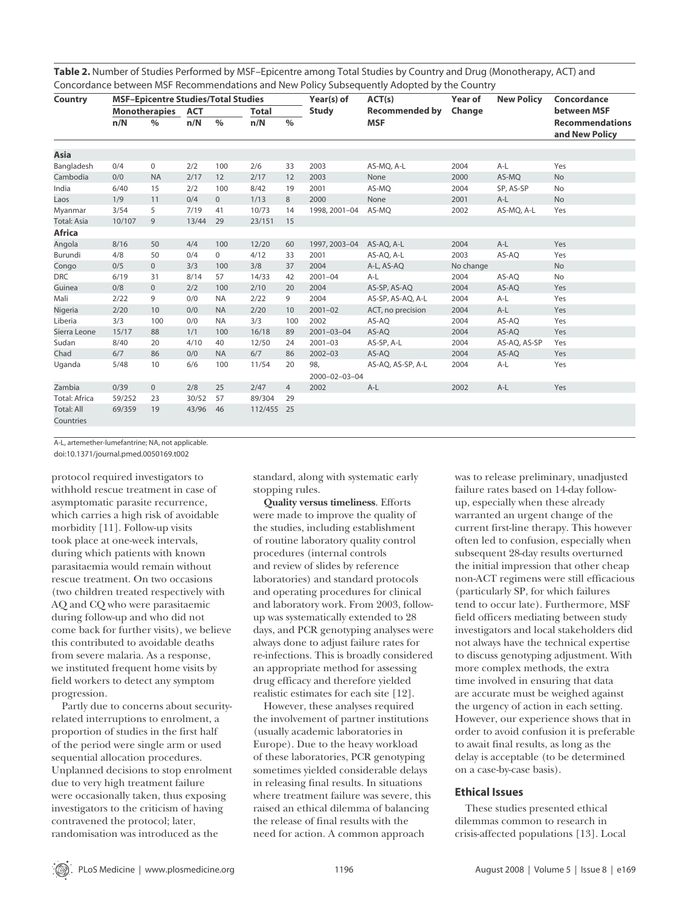Table 2. Number of Studies Performed by MSF-Epicentre among Total Studies by Country and Drug (Monotherapy, ACT) and Concordance between MSF Recommendations and New Policy Subsequently Adopted by the Country

| Country                        | <b>MSF-Epicentre Studies/Total Studies</b> |                      |       |              |            |                | Year(s) of               | ACT(s)                | Year of   | <b>New Policy</b> | Concordance                              |
|--------------------------------|--------------------------------------------|----------------------|-------|--------------|------------|----------------|--------------------------|-----------------------|-----------|-------------------|------------------------------------------|
|                                |                                            | <b>Monotherapies</b> |       | <b>ACT</b>   |            |                | <b>Study</b>             | <b>Recommended by</b> | Change    |                   | between MSF                              |
|                                | n/N                                        | $\%$                 | n/N   | $\%$         | n/N        | $\%$           |                          | <b>MSF</b>            |           |                   | <b>Recommendations</b><br>and New Policy |
| Asia                           |                                            |                      |       |              |            |                |                          |                       |           |                   |                                          |
| Bangladesh                     | 0/4                                        | $\mathbf 0$          | 2/2   | 100          | 2/6        | 33             | 2003                     | AS-MQ, A-L            | 2004      | $A-L$             | Yes                                      |
| Cambodia                       | 0/0                                        | <b>NA</b>            | 2/17  | 12           | 2/17       | 12             | 2003                     | None                  | 2000      | AS-MQ             | <b>No</b>                                |
| India                          | 6/40                                       | 15                   | 2/2   | 100          | 8/42       | 19             | 2001                     | AS-MQ                 | 2004      | SP, AS-SP         | <b>No</b>                                |
| Laos                           | 1/9                                        | 11                   | 0/4   | $\mathbf{0}$ | 1/13       | 8              | 2000                     | None                  | 2001      | $A-L$             | No                                       |
| Myanmar                        | 3/54                                       | 5                    | 7/19  | 41           | 10/73      | 14             | 1998, 2001-04            | AS-MO                 | 2002      | AS-MQ, A-L        | Yes                                      |
| <b>Total: Asia</b>             | 10/107                                     | 9                    | 13/44 | 29           | 23/151     | 15             |                          |                       |           |                   |                                          |
| <b>Africa</b>                  |                                            |                      |       |              |            |                |                          |                       |           |                   |                                          |
| Angola                         | 8/16                                       | 50                   | 4/4   | 100          | 12/20      | 60             | 1997, 2003-04 AS-AQ, A-L |                       | 2004      | $A-L$             | Yes                                      |
| Burundi                        | 4/8                                        | 50                   | 0/4   | $\mathbf 0$  | 4/12       | 33             | 2001                     | AS-AQ, A-L            | 2003      | AS-AQ             | Yes                                      |
| Congo                          | 0/5                                        | $\mathbf{0}$         | 3/3   | 100          | 3/8        | 37             | 2004                     | A-L, AS-AQ            | No change |                   | No                                       |
| <b>DRC</b>                     | 6/19                                       | 31                   | 8/14  | 57           | 14/33      | 42             | $2001 - 04$              | $A-L$                 | 2004      | AS-AQ             | <b>No</b>                                |
| Guinea                         | 0/8                                        | $\mathbf{0}$         | 2/2   | 100          | 2/10       | 20             | 2004                     | AS-SP, AS-AQ          | 2004      | AS-AQ             | Yes                                      |
| Mali                           | 2/22                                       | 9                    | 0/0   | <b>NA</b>    | 2/22       | 9              | 2004                     | AS-SP, AS-AQ, A-L     | 2004      | $A-L$             | Yes                                      |
| Nigeria                        | 2/20                                       | 10                   | 0/0   | <b>NA</b>    | 2/20       | 10             | $2001 - 02$              | ACT, no precision     | 2004      | $A-L$             | Yes                                      |
| Liberia                        | 3/3                                        | 100                  | 0/0   | <b>NA</b>    | 3/3        | 100            | 2002                     | AS-AQ                 | 2004      | AS-AQ             | Yes                                      |
| Sierra Leone                   | 15/17                                      | 88                   | 1/1   | 100          | 16/18      | 89             | $2001 - 03 - 04$         | AS-AQ                 | 2004      | AS-AQ             | Yes                                      |
| Sudan                          | 8/40                                       | 20                   | 4/10  | 40           | 12/50      | 24             | $2001 - 03$              | AS-SP, A-L            | 2004      | AS-AQ, AS-SP      | Yes                                      |
| Chad                           | 6/7                                        | 86                   | 0/0   | <b>NA</b>    | 6/7        | 86             | $2002 - 03$              | AS-AQ                 | 2004      | AS-AQ             | Yes                                      |
| Uganda                         | 5/48                                       | 10                   | 6/6   | 100          | 11/54      | 20             | 98,<br>2000-02-03-04     | AS-AQ, AS-SP, A-L     | 2004      | A-L               | Yes                                      |
| Zambia                         | 0/39                                       | $\overline{0}$       | 2/8   | 25           | 2/47       | $\overline{4}$ | 2002                     | $A-L$                 | 2002      | $A-L$             | Yes                                      |
| <b>Total: Africa</b>           | 59/252                                     | 23                   | 30/52 | 57           | 89/304     | 29             |                          |                       |           |                   |                                          |
| <b>Total: All</b><br>Countries | 69/359                                     | 19                   | 43/96 | 46           | 112/455 25 |                |                          |                       |           |                   |                                          |

A-L, artemether-lumefantrine: NA, not applicable.

doi:10.1371/journal.pmed.0050169.t002

protocol required investigators to withhold rescue treatment in case of asymptomatic parasite recurrence, which carries a high risk of avoidable morbidity [11]. Follow-up visits took place at one-week intervals, during which patients with known parasitaemia would remain without rescue treatment. On two occasions (two children treated respectively with AQ and CQ who were parasitaemic during follow-up and who did not come back for further visits), we believe this contributed to avoidable deaths from severe malaria. As a response, we instituted frequent home visits by field workers to detect any symptom progression.

Partly due to concerns about securityrelated interruptions to enrolment, a proportion of studies in the first half of the period were single arm or used sequential allocation procedures. Unplanned decisions to stop enrolment due to very high treatment failure were occasionally taken, thus exposing investigators to the criticism of having contravened the protocol; later, randomisation was introduced as the

standard, along with systematic early stopping rules.

**Quality versus timeliness**. Efforts were made to improve the quality of the studies, including establishment of routine laboratory quality control procedures (internal controls and review of slides by reference laboratories) and standard protocols and operating procedures for clinical and laboratory work. From 2003, followup was systematically extended to 28 days, and PCR genotyping analyses were always done to adjust failure rates for re-infections. This is broadly considered an appropriate method for assessing drug efficacy and therefore yielded realistic estimates for each site [12].

However, these analyses required the involvement of partner institutions (usually academic laboratories in Europe). Due to the heavy workload of these laboratories, PCR genotyping sometimes yielded considerable delays in releasing final results. In situations where treatment failure was severe, this raised an ethical dilemma of balancing the release of final results with the need for action. A common approach

was to release preliminary, unadjusted failure rates based on 14-day followup, especially when these already warranted an urgent change of the current first-line therapy. This however often led to confusion, especially when subsequent 28-day results overturned the initial impression that other cheap non-ACT regimens were still efficacious (particularly SP, for which failures tend to occur late). Furthermore, MSF field officers mediating between study investigators and local stakeholders did not always have the technical expertise to discuss genotyping adjustment. With more complex methods, the extra time involved in ensuring that data are accurate must be weighed against the urgency of action in each setting. However, our experience shows that in order to avoid confusion it is preferable to await final results, as long as the delay is acceptable (to be determined on a case-by-case basis).

# **Ethical Issues**

These studies presented ethical dilemmas common to research in crisis-affected populations [13]. Local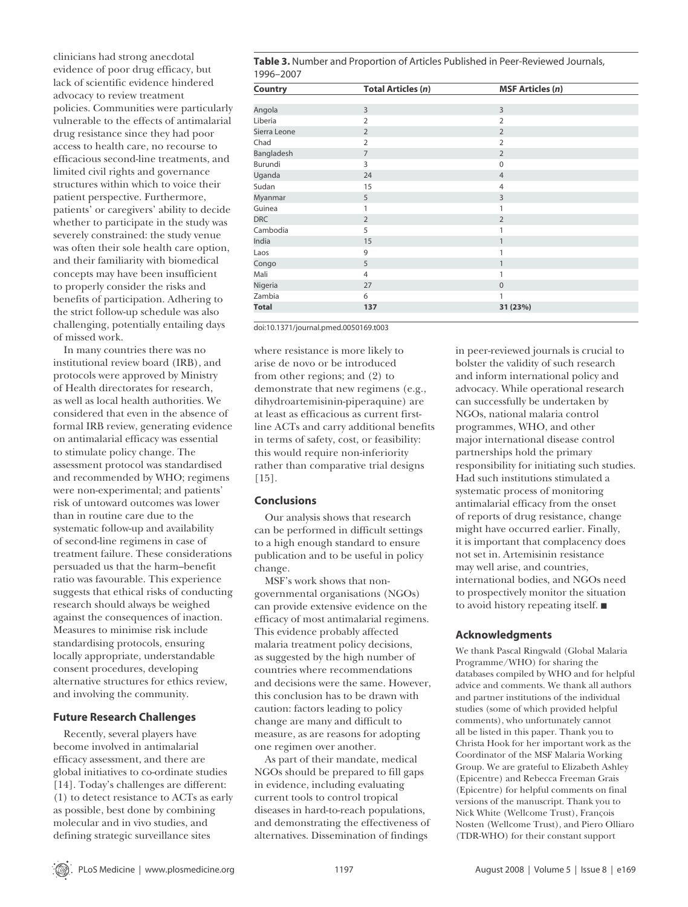clinicians had strong anecdotal evidence of poor drug efficacy, but lack of scientific evidence hindered advocacy to review treatment policies. Communities were particularly vulnerable to the effects of antimalarial drug resistance since they had poor access to health care, no recourse to efficacious second-line treatments, and limited civil rights and governance structures within which to voice their patient perspective. Furthermore, patients' or caregivers' ability to decide whether to participate in the study was severely constrained: the study venue was often their sole health care option, and their familiarity with biomedical concepts may have been insufficient to properly consider the risks and benefits of participation. Adhering to the strict follow-up schedule was also challenging, potentially entailing days of missed work.

In many countries there was no institutional review board (IRB), and protocols were approved by Ministry of Health directorates for research, as well as local health authorities. We considered that even in the absence of formal IRB review, generating evidence on antimalarial efficacy was essential to stimulate policy change. The assessment protocol was standardised and recommended by WHO; regimens were non-experimental; and patients' risk of untoward outcomes was lower than in routine care due to the systematic follow-up and availability of second-line regimens in case of treatment failure. These considerations persuaded us that the harm–benefit ratio was favourable. This experience suggests that ethical risks of conducting research should always be weighed against the consequences of inaction. Measures to minimise risk include standardising protocols, ensuring locally appropriate, understandable consent procedures, developing alternative structures for ethics review, and involving the community.

#### **Future Research Challenges**

Recently, several players have become involved in antimalarial efficacy assessment, and there are global initiatives to co-ordinate studies [14]. Today's challenges are different: (1) to detect resistance to ACTs as early as possible, best done by combining molecular and in vivo studies, and defining strategic surveillance sites

Table 3. Number and Proportion of Articles Published in Peer-Reviewed Journals, 1996-2007

| Country      | <b>Total Articles (n)</b> | <b>MSF Articles (n)</b> |  |
|--------------|---------------------------|-------------------------|--|
|              |                           |                         |  |
| Angola       | $\mathsf{3}$              | $\overline{3}$          |  |
| Liberia      | $\overline{2}$            | $\overline{2}$          |  |
| Sierra Leone | $\overline{2}$            | $\overline{2}$          |  |
| Chad         | $\overline{2}$            | $\overline{2}$          |  |
| Bangladesh   | $\overline{7}$            | $\overline{2}$          |  |
| Burundi      | 3                         | $\mathbf 0$             |  |
| Uganda       | 24                        | $\overline{4}$          |  |
| Sudan        | 15                        | $\overline{4}$          |  |
| Myanmar      | 5                         | 3                       |  |
| Guinea       | 1                         | 1                       |  |
| <b>DRC</b>   | $\overline{2}$            | $\overline{2}$          |  |
| Cambodia     | 5                         | 1                       |  |
| India        | 15                        | 1                       |  |
| Laos         | 9                         | 1                       |  |
| Congo        | 5                         | 1                       |  |
| Mali         | $\overline{4}$            | 1                       |  |
| Nigeria      | 27                        | $\mathbf 0$             |  |
| Zambia       | 6                         | 1                       |  |
| <b>Total</b> | 137                       | 31 (23%)                |  |

doi:10.1371/journal.pmed.0050169.t003

where resistance is more likely to arise de novo or be introduced from other regions; and (2) to demonstrate that new regimens (e.g., dihydroartemisinin-piperaquine) are at least as efficacious as current firstline ACTs and carry additional benefits in terms of safety, cost, or feasibility: this would require non-inferiority rather than comparative trial designs [15].

#### **Conclusions**

Our analysis shows that research can be performed in difficult settings to a high enough standard to ensure publication and to be useful in policy change.

MSF's work shows that nongovernmental organisations (NGOs) can provide extensive evidence on the efficacy of most antimalarial regimens. This evidence probably affected malaria treatment policy decisions, as suggested by the high number of countries where recommendations and decisions were the same. However, this conclusion has to be drawn with caution: factors leading to policy change are many and difficult to measure, as are reasons for adopting one regimen over another.

As part of their mandate, medical NGOs should be prepared to fill gaps in evidence, including evaluating current tools to control tropical diseases in hard-to-reach populations, and demonstrating the effectiveness of alternatives. Dissemination of findings

in peer-reviewed journals is crucial to bolster the validity of such research and inform international policy and advocacy. While operational research can successfully be undertaken by NGOs, national malaria control programmes, WHO, and other major international disease control partnerships hold the primary responsibility for initiating such studies. Had such institutions stimulated a systematic process of monitoring antimalarial efficacy from the onset of reports of drug resistance, change might have occurred earlier. Finally, it is important that complacency does not set in. Artemisinin resistance may well arise, and countries, international bodies, and NGOs need to prospectively monitor the situation to avoid history repeating itself. ■

#### **Acknowledgments**

We thank Pascal Ringwald (Global Malaria Programme/WHO) for sharing the databases compiled by WHO and for helpful advice and comments. We thank all authors and partner institutions of the individual studies (some of which provided helpful comments), who unfortunately cannot all be listed in this paper. Thank you to Christa Hook for her important work as the Coordinator of the MSF Malaria Working Group. We are grateful to Elizabeth Ashley (Epicentre) and Rebecca Freeman Grais (Epicentre) for helpful comments on final versions of the manuscript. Thank you to Nick White (Wellcome Trust), François Nosten (Wellcome Trust), and Piero Olliaro (TDR-WHO) for their constant support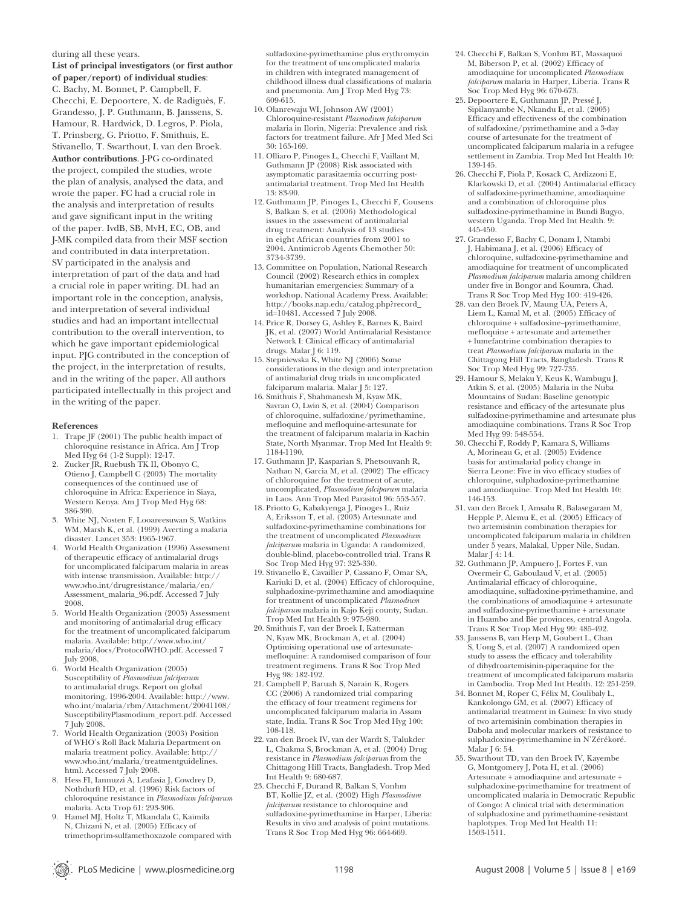#### during all these years.

**List of principal investigators (or first author of paper/report) of individual studies**: C. Bachy, M. Bonnet, P. Campbell, F. Checchi, E. Depoortere, X. de Radiguès, F. Grandesso, J. P. Guthmann, B. Janssens, S. Hamour, R. Hardwick, D. Legros, P. Piola, T. Prinsberg, G. Priotto, F. Smithuis, E. Stivanello, T. Swarthout, I. van den Broek. **Author contributions**. J-PG co-ordinated the project, compiled the studies, wrote the plan of analysis, analysed the data, and wrote the paper. FC had a crucial role in the analysis and interpretation of results and gave significant input in the writing of the paper. IvdB, SB, MvH, EC, OB, and J-MK compiled data from their MSF section and contributed in data interpretation. SV participated in the analysis and interpretation of part of the data and had a crucial role in paper writing. DL had an important role in the conception, analysis, and interpretation of several individual studies and had an important intellectual contribution to the overall intervention, to which he gave important epidemiological input. PJG contributed in the conception of the project, in the interpretation of results, and in the writing of the paper. All authors participated intellectually in this project and in the writing of the paper.

#### **References**

- 1. Trape JF (2001) The public health impact of chloroquine resistance in Africa. Am J Trop Med Hyg 64 (1-2 Suppl): 12-17.
- 2. Zucker JR, Ruebush TK II, Obonyo C, Otieno J, Campbell C (2003) The mortality consequences of the continued use of chloroquine in Africa: Experience in Siaya, Western Kenya. Am J Trop Med Hyg 68: 386-390.
- 3. White NJ, Nosten F, Looareesuwan S, Watkins WM, Marsh K, et al. (1999) Averting a malaria disaster. Lancet 353: 1965-1967.
- 4. World Health Organization (1996) Assessment of therapeutic efficacy of antimalarial drugs for uncomplicated falciparum malaria in areas with intense transmission. Available: http:// www.who.int/drugresistance/malaria/en/ Assessment\_malaria\_96.pdf. Accessed 7 July 2008.
- 5. World Health Organization (2003) Assessment and monitoring of antimalarial drug efficacy for the treatment of uncomplicated falciparum malaria. Available: http://www.who.int/ malaria/docs/ProtocolWHO.pdf. Accessed 7 July 2008.
- 6. World Health Organization (2005) Susceptibility of *Plasmodium falciparum* to antimalarial drugs. Report on global monitoring, 1996-2004. Available: http://www. who.int/malaria/rbm/Attachment/20041108/ SusceptibilityPlasmodium\_report.pdf. Accessed 7 July 2008.
- 7. World Health Organization (2003) Position of WHO's Roll Back Malaria Department on malaria treatment policy. Available: http:// www.who.int/malaria/treatmentguidelines. html. Accessed 7 July 2008.
- 8. Hess FI, Iannuzzi A, Leafasia J, Cowdrey D, Nothdurft HD, et al. (1996) Risk factors of chloroquine resistance in *Plasmodium falciparum* malaria. Acta Trop 61: 293-306.
- 9. Hamel MJ, Holtz T, Mkandala C, Kaimila N, Chizani N, et al. (2005) Efficacy of trimethoprim-sulfamethoxazole compared with

sulfadoxine-pyrimethamine plus erythromycin for the treatment of uncomplicated malaria in children with integrated management of childhood illness dual classifications of malaria and pneumonia. Am J Trop Med Hyg 73: 609-615.

- 10. Olanrewaju WI, Johnson AW (2001) Chloroquine-resistant *Plasmodium falciparum* malaria in Ilorin, Nigeria: Prevalence and risk factors for treatment failure. Afr J Med Med Sci 30: 165-169.
- 11. Olliaro P, Pinoges L, Checchi F, Vaillant M, Guthmann JP (2008) Risk associated with asymptomatic parasitaemia occurring postantimalarial treatment. Trop Med Int Health 13: 83-90.
- 12. Guthmann JP, Pinoges L, Checchi F, Cousens S, Balkan S, et al. (2006) Methodological issues in the assessment of antimalarial drug treatment: Analysis of 13 studies in eight African countries from 2001 to 2004. Antimicrob Agents Chemother 50: 3734-3739.
- 13. Committee on Population, National Research Council (2002) Research ethics in complex humanitarian emergencies: Summary of a workshop. National Academy Press. Available: http://books.nap.edu/catalog.php?record\_ id=10481. Accessed 7 July 2008.
- 14. Price R, Dorsey G, Ashley E, Barnes K, Baird JK, et al. (2007) World Antimalarial Resistance Network I: Clinical efficacy of antimalarial drugs. Malar J 6: 119.
- 15. Stepniewska K, White NJ (2006) Some considerations in the design and interpretation of antimalarial drug trials in uncomplicated falciparum malaria. Malar I 5: 127.
- 16. Smithuis F, Shahmanesh M, Kyaw MK, Savran O, Lwin S, et al. (2004) Comparison of chloroquine, sulfadoxine/pyrimethamine, mefloquine and mefloquine-artesunate for the treatment of falciparum malaria in Kachin State, North Myanmar. Trop Med Int Health 9: 1184-1190.
- 17. Guthmann JP, Kasparian S, Phetsouvanh R, Nathan N, Garcia M, et al. (2002) The efficacy of chloroquine for the treatment of acute, uncomplicated, *Plasmodium falciparum* malaria in Laos. Ann Trop Med Parasitol 96: 553-557.
- 18. Priotto G, Kabakyenga J, Pinoges L, Ruiz A, Eriksson T, et al. (2003) Artesunate and sulfadoxine-pyrimethamine combinations for the treatment of uncomplicated *Plasmodium falciparum* malaria in Uganda: A randomized, double-blind, placebo-controlled trial. Trans R Soc Trop Med Hyg 97: 325-330.
- 19. Stivanello E, Cavailler P, Cassano F, Omar SA, Kariuki D, et al. (2004) Efficacy of chloroquine, sulphadoxine-pyrimethamine and amodiaquine for treatment of uncomplicated *Plasmodium falciparum* malaria in Kajo Keji county, Sudan. Trop Med Int Health 9: 975-980.
- 20. Smithuis F, van der Broek I, Katterman N, Kyaw MK, Brockman A, et al. (2004) Optimising operational use of artesunatemefloquine: A randomised comparison of four treatment regimens. Trans R Soc Trop Med Hyg 98: 182-192.
- 21. Campbell P, Baruah S, Narain K, Rogers CC (2006) A randomized trial comparing the efficacy of four treatment regimens for uncomplicated falciparum malaria in Assam state, India. Trans R Soc Trop Med Hyg 100: 108-118.
- 22. van den Broek IV, van der Wardt S, Talukder L, Chakma S, Brockman A, et al. (2004) Drug resistance in *Plasmodium falciparum* from the Chittagong Hill Tracts, Bangladesh. Trop Med Int Health 9: 680-687.
- 23. Checchi F, Durand R, Balkan S, Vonhm BT, Kollie JZ, et al. (2002) High *Plasmodium falciparum* resistance to chloroquine and sulfadoxine-pyrimethamine in Harper, Liberia: Results in vivo and analysis of point mutations. Trans R Soc Trop Med Hyg 96: 664-669.
- 24. Checchi F, Balkan S, Vonhm BT, Massaquoi M, Biberson P, et al. (2002) Efficacy of amodiaquine for uncomplicated *Plasmodium falciparum* malaria in Harper, Liberia. Trans R Soc Trop Med Hyg 96: 670-673.
- 25. Depoortere E, Guthmann JP, Pressé J, Sipilanyambe N, Nkandu E, et al. (2005) Efficacy and effectiveness of the combination of sulfadoxine/pyrimethamine and a 3-day course of artesunate for the treatment of uncomplicated falciparum malaria in a refugee settlement in Zambia. Trop Med Int Health 10: 139-145.
- 26. Checchi F, Piola P, Kosack C, Ardizzoni E, Klarkowski D, et al. (2004) Antimalarial efficacy of sulfadoxine-pyrimethamine, amodiaquine and a combination of chloroquine plus sulfadoxine-pyrimethamine in Bundi Bugyo, western Uganda. Trop Med Int Health. 9: 445-450.
- 27. Grandesso F, Bachy C, Donam I, Ntambi J, Habimana J, et al. (2006) Efficacy of chloroquine, sulfadoxine-pyrimethamine and amodiaquine for treatment of uncomplicated *Plasmodium falciparum* malaria among children under five in Bongor and Koumra, Chad. Trans R Soc Trop Med Hyg 100: 419-426.
- 28. van den Broek IV, Maung UA, Peters A, Liem L, Kamal M, et al. (2005) Efficacy of chloroquine + sulfadoxine-pyrimethamine, mefloquine + artesunate and artemether + lumefantrine combination therapies to treat *Plasmodium falciparum* malaria in the Chittagong Hill Tracts, Bangladesh. Trans R Soc Trop Med Hyg 99: 727-735.
- 29. Hamour S, Melaku Y, Keus K, Wambugu J, Atkin S, et al. (2005) Malaria in the Nuba Mountains of Sudan: Baseline genotypic resistance and efficacy of the artesunate plus sulfadoxine-pyrimethamine and artesunate plus amodiaquine combinations. Trans R Soc Trop Med Hyg 99: 548-554.
- 30. Checchi F, Roddy P, Kamara S, Williams A, Morineau G, et al. (2005) Evidence basis for antimalarial policy change in Sierra Leone: Five in vivo efficacy studies of chloroquine, sulphadoxine-pyrimethamine and amodiaquine. Trop Med Int Health 10: 146-153.
- 31. van den Broek I, Amsalu R, Balasegaram M, Hepple P, Alemu E, et al. (2005) Efficacy of two artemisinin combination therapies for uncomplicated falciparum malaria in children under 5 years, Malakal, Upper Nile, Sudan. Malar J 4: 14.
- 32. Guthmann JP, Ampuero J, Fortes F, van Overmeir C, Gaboulaud V, et al. (2005) Antimalarial efficacy of chloroquine, amodiaquine, sulfadoxine-pyrimethamine, and the combinations of amodiaquine + artesunate and sulfadoxine-pyrimethamine + artesunate in Huambo and Bie provinces, central Angola. Trans R Soc Trop Med Hyg 99: 485-492.
- 33. Janssens B, van Herp M, Goubert L, Chan S, Uong S, et al. (2007) A randomized open study to assess the efficacy and tolerability of dihydroartemisinin-piperaquine for the treatment of uncomplicated falciparum malaria in Cambodia. Trop Med Int Health. 12: 251-259.
- 34. Bonnet M, Roper C, Félix M, Coulibaly L, Kankolongo GM, et al. (2007) Efficacy of antimalarial treatment in Guinea: In vivo study of two artemisinin combination therapies in Dabola and molecular markers of resistance to sulphadoxine-pyrimethamine in N'Zérékoré. Malar J 6: 54.
- 35. Swarthout TD, van den Broek IV, Kayembe G, Montgomery J, Pota H, et al. (2006) Artesunate + amodiaquine and artesunate + sulphadoxine-pyrimethamine for treatment of uncomplicated malaria in Democratic Republic of Congo: A clinical trial with determination of sulphadoxine and pyrimethamine-resistant haplotypes. Trop Med Int Health 11: 1503-1511.